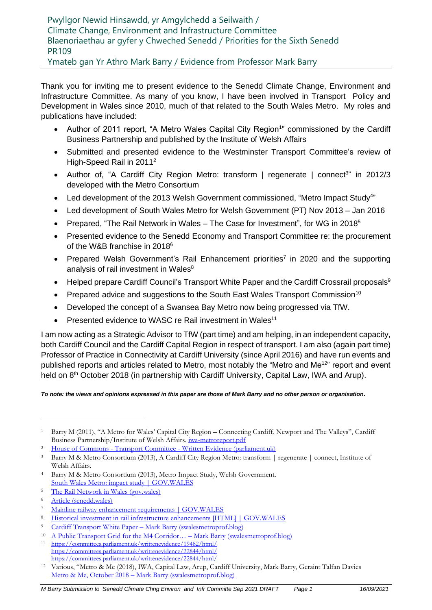Pwyllgor Newid Hinsawdd, yr Amgylchedd a Seilwaith / Climate Change, Environment and Infrastructure Committee Blaenoriaethau ar gyfer y Chweched Senedd / Priorities for the Sixth Senedd PR109 Ymateb gan Yr Athro Mark Barry / Evidence from Professor Mark Barry

Thank you for inviting me to present evidence to the Senedd Climate Change, Environment and Infrastructure Committee. As many of you know, I have been involved in Transport Policy and Development in Wales since 2010, much of that related to the South Wales Metro. My roles and publications have included:

- Author of 2011 report, "A Metro Wales Capital City Region<sup>1</sup>" commissioned by the Cardiff Business Partnership and published by the Institute of Welsh Affairs
- Submitted and presented evidence to the Westminster Transport Committee's review of High-Speed Rail in 2011<sup>2</sup>
- Author of, "A Cardiff City Region Metro: transform | regenerate | connect<sup>3</sup>" in 2012/3 developed with the Metro Consortium
- Led development of the 2013 Welsh Government commissioned, "Metro Impact Study<sup>4</sup>"
- Led development of South Wales Metro for Welsh Government (PT) Nov 2013 Jan 2016
- Prepared, "The Rail Network in Wales The Case for Investment", for WG in 2018 $5$
- Presented evidence to the Senedd Economy and Transport Committee re: the procurement of the W&B franchise in 2018<sup>6</sup>
- Prepared Welsh Government's Rail Enhancement priorities<sup>7</sup> in 2020 and the supporting analysis of rail investment in Wales<sup>8</sup>
- Helped prepare Cardiff Council's Transport White Paper and the Cardiff Crossrail proposals<sup>9</sup>
- Prepared advice and suggestions to the South East Wales Transport Commission<sup>10</sup>
- Developed the concept of a Swansea Bay Metro now being progressed via TfW.
- Presented evidence to WASC re Rail investment in Wales<sup>11</sup>

I am now acting as a Strategic Advisor to TfW (part time) and am helping, in an independent capacity, both Cardiff Council and the Cardiff Capital Region in respect of transport. I am also (again part time) Professor of Practice in Connectivity at Cardiff University (since April 2016) and have run events and published reports and articles related to Metro, most notably the "Metro and Me<sup>12</sup>" report and event held on 8<sup>th</sup> October 2018 (in partnership with Cardiff University, Capital Law, IWA and Arup).

#### *To note: the views and opinions expressed in this paper are those of Mark Barry and no other person or organisation.*

<sup>5</sup> [The Rail Network in Wales \(gov.wales\)](https://gov.wales/sites/default/files/publications/2018-12/the-rail-network-in-wales-case-for-investment.pdf)

<sup>&</sup>lt;sup>1</sup> Barry M (2011), "A Metro for Wales' Capital City Region – Connecting Cardiff, Newport and The Valleys", Cardiff Business Partnership/Institute of Welsh Affairs. [iwa-metroreport.pdf](https://www.iwa.wales/wp-content/media/2011/02/iwa-metroreport.pdf)

<sup>&</sup>lt;sup>2</sup> House of Commons - Transport Committee - [Written Evidence \(parliament.uk\)](https://publications.parliament.uk/pa/cm201012/cmselect/cmtran/1185/1185we44.htm)

<sup>3</sup> Barry M & Metro Consortium (2013), A Cardiff City Region Metro: transform | regenerate | connect, Institute of Welsh Affairs.

<sup>4</sup> Barry M & Metro Consortium (2013), Metro Impact Study, Welsh Government. [South Wales Metro: impact study | GOV.WALES](https://gov.wales/south-wales-metro-impact-study)

<sup>6</sup> [Article \(senedd.wales\)](https://business.senedd.wales/documents/s81089/3.%20Professor%20Mark%20Barry.pdf)

<sup>7</sup> [Mainline railway enhancement requirements | GOV.WALES](https://gov.wales/mainline-railway-enhancement-requirements)

<sup>8</sup> [Historical investment in rail infrastructure enhancements \[HTML\] | GOV.WALES](https://gov.wales/historical-investment-rail-infrastructure-enhancements-html)

<sup>9</sup> Cardiff Transport White Paper – [Mark Barry \(swalesmetroprof.blog\)](https://swalesmetroprof.blog/2020/01/15/cardiff-transport-white-paper/)

<sup>10</sup> [A Public Transport Grid for the M4 Corridor… –](https://swalesmetroprof.blog/2020/07/13/a-public-transport-grid-for-the-m4-corridor/) Mark Barry (swalesmetroprof.blog)

<sup>11</sup> <https://committees.parliament.uk/writtenevidence/19482/html/> <https://committees.parliament.uk/writtenevidence/22844/html/> <https://committees.parliament.uk/writtenevidence/22844/html/>

<sup>12</sup> Various, "Metro & Me (2018), IWA, Capital Law, Arup, Cardiff University, Mark Barry, Geraint Talfan Davies Metro & Me, October 2018 – [Mark Barry \(swalesmetroprof.blog\)](https://swalesmetroprof.blog/2018/10/02/metro-me-october-2018/)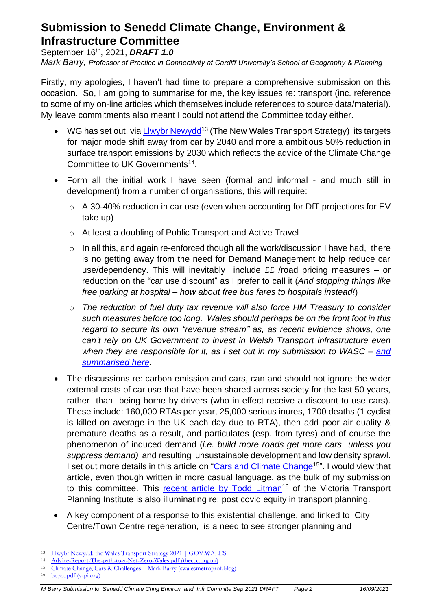# **Submission to Senedd Climate Change, Environment & Infrastructure Committee**

September 16th , 2021, *DRAFT 1.0*

*Mark Barry, Professor of Practice in Connectivity at Cardiff University's School of Geography & Planning* 

Firstly, my apologies, I haven't had time to prepare a comprehensive submission on this occasion. So, I am going to summarise for me, the key issues re: transport (inc. reference to some of my on-line articles which themselves include references to source data/material). My leave commitments also meant I could not attend the Committee today either.

- WG has set out, via [Llwybr Newydd](https://gov.wales/llwybr-newydd-wales-transport-strategy-2021)<sup>13</sup> (The New Wales Transport Strategy) its targets for major mode shift away from car by 2040 and more a ambitious 50% reduction in surface transport emissions by 2030 which reflects the advice of the Climate Change Committee to UK Governments 14 .
- Form all the initial work I have seen (formal and informal and much still in development) from a number of organisations, this will require:
	- o A 30-40% reduction in car use (even when accounting for DfT projections for EV take up)
	- o At least a doubling of Public Transport and Active Travel
	- $\circ$  In all this, and again re-enforced though all the work/discussion I have had, there is no getting away from the need for Demand Management to help reduce car use/dependency. This will inevitably include ££ /road pricing measures – or reduction on the "car use discount" as I prefer to call it (*And stopping things like free parking at hospital – how about free bus fares to hospitals instead!*)
	- o *The reduction of fuel duty tax revenue will also force HM Treasury to consider such measures before too long. Wales should perhaps be on the front foot in this regard to secure its own "revenue stream" as, as recent evidence shows, one can't rely on UK Government to invest in Welsh Transport infrastructure even when they are responsible for it, as I set out in my submission to WASC – [and](https://swalesmetroprof.blog/2021/02/15/welsh-rail-infrastructure-investment/) [summarised](https://swalesmetroprof.blog/2021/02/15/welsh-rail-infrastructure-investment/) here.*
- The discussions re: carbon emission and cars, can and should not ignore the wider external costs of car use that have been shared across society for the last 50 years, rather than being borne by drivers (who in effect receive a discount to use cars). These include: 160,000 RTAs per year, 25,000 serious inures, 1700 deaths (1 cyclist is killed on average in the UK each day due to RTA), then add poor air quality & premature deaths as a result, and particulates (esp. from tyres) and of course the phenomenon of induced demand (*i.e. build more roads get more cars unless you suppress demand)* and resulting unsustainable development and low density sprawl. I set out more details in this article on ["Cars and Climate Change](https://swalesmetroprof.blog/2021/03/23/climate-change-cars-challenges/)<sup>15</sup>". I would view that article, even though written in more casual language, as the bulk of my submission to this committee. This recent article [by Todd Litman](https://www.vtpi.org/bcpct.pdf)<sup>16</sup> of the Victoria Transport Planning Institute is also illuminating re: post covid equity in transport planning.
- A key component of a response to this existential challenge, and linked to City Centre/Town Centre regeneration, is a need to see stronger planning and

<sup>16</sup> [bcpct.pdf \(vtpi.org\)](https://www.vtpi.org/bcpct.pdf)

<sup>13</sup> [Llwybr Newydd: the Wales Transport Strategy 2021 | GOV.WALES](https://gov.wales/llwybr-newydd-wales-transport-strategy-2021)

<sup>14</sup> [Advice-Report-The-path-to-a-Net-Zero-Wales.pdf \(theccc.org.uk\)](https://www.theccc.org.uk/wp-content/uploads/2020/12/Advice-Report-The-path-to-a-Net-Zero-Wales.pdf)

<sup>15</sup> [Climate Change, Cars & Challenges](https://swalesmetroprof.blog/2021/03/23/climate-change-cars-challenges/) – Mark Barry (swalesmetroprof.blog)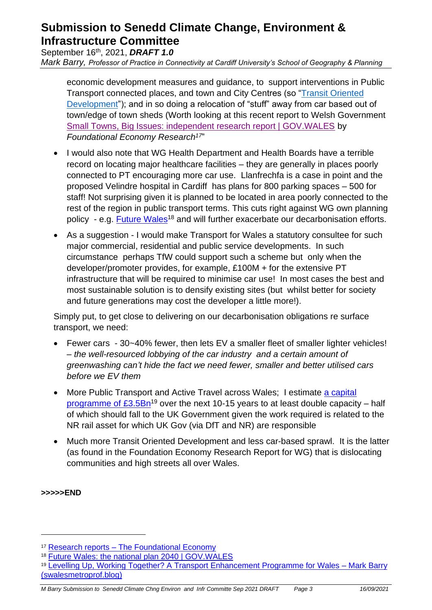## **Submission to Senedd Climate Change, Environment & Infrastructure Committee**

September 16th , 2021, *DRAFT 1.0*

*Mark Barry, Professor of Practice in Connectivity at Cardiff University's School of Geography & Planning* 

economic development measures and guidance, to support interventions in Public Transport connected places, and town and City Centres (so ["Transit Oriented](https://eur03.safelinks.protection.outlook.com/?url=https%3A%2F%2Fswalesmetroprof.blog%2F2019%2F04%2F25%2Ftransit-oriented-development-in-the-cardiff-capital-region%2F&data=04%7C01%7CBarryM9%40cardiff.ac.uk%7Ce0a67e95f6a941d7312d08d977a0c379%7Cbdb74b3095684856bdbf06759778fcbc%7C1%7C0%7C637672356300349178%7CUnknown%7CTWFpbGZsb3d8eyJWIjoiMC4wLjAwMDAiLCJQIjoiV2luMzIiLCJBTiI6Ik1haWwiLCJXVCI6Mn0%3D%7C3000&sdata=iZoZSDCkoz%2BH7Audc7e1BAh4LLOfijcKtgs9M%2F5DnM4%3D&reserved=0)  [Development"](https://eur03.safelinks.protection.outlook.com/?url=https%3A%2F%2Fswalesmetroprof.blog%2F2019%2F04%2F25%2Ftransit-oriented-development-in-the-cardiff-capital-region%2F&data=04%7C01%7CBarryM9%40cardiff.ac.uk%7Ce0a67e95f6a941d7312d08d977a0c379%7Cbdb74b3095684856bdbf06759778fcbc%7C1%7C0%7C637672356300349178%7CUnknown%7CTWFpbGZsb3d8eyJWIjoiMC4wLjAwMDAiLCJQIjoiV2luMzIiLCJBTiI6Ik1haWwiLCJXVCI6Mn0%3D%7C3000&sdata=iZoZSDCkoz%2BH7Audc7e1BAh4LLOfijcKtgs9M%2F5DnM4%3D&reserved=0)); and in so doing a relocation of "stuff" away from car based out of town/edge of town sheds (Worth looking at this recent report to Welsh Government [Small Towns, Big Issues: independent research report | GOV.WALES](https://eur03.safelinks.protection.outlook.com/?url=https%3A%2F%2Fgov.wales%2Fsmall-towns-big-issues-independent-research-report&data=04%7C01%7CBarryM9%40cardiff.ac.uk%7Ce0a67e95f6a941d7312d08d977a0c379%7Cbdb74b3095684856bdbf06759778fcbc%7C1%7C0%7C637672356300349178%7CUnknown%7CTWFpbGZsb3d8eyJWIjoiMC4wLjAwMDAiLCJQIjoiV2luMzIiLCJBTiI6Ik1haWwiLCJXVCI6Mn0%3D%7C3000&sdata=HwwSaOA%2FDaGajc9qiXIqDR7vTWHmpbdSXgGbQfmIQYc%3D&reserved=0) by *Foundational Economy Research<sup>17</sup>* "

- I would also note that WG Health Department and Health Boards have a terrible record on locating major healthcare facilities – they are generally in places poorly connected to PT encouraging more car use. Llanfrechfa is a case in point and the proposed Velindre hospital in Cardiff has plans for 800 parking spaces – 500 for staff! Not surprising given it is planned to be located in area poorly connected to the rest of the region in public transport terms. This cuts right against WG own planning policy - e.g. [Future](https://gov.wales/future-wales-national-plan-2040) Wales<sup>18</sup> and will further exacerbate our decarbonisation efforts.
- As a suggestion I would make Transport for Wales a statutory consultee for such major commercial, residential and public service developments. In such circumstance perhaps TfW could support such a scheme but only when the developer/promoter provides, for example, £100M + for the extensive PT infrastructure that will be required to minimise car use! In most cases the best and most sustainable solution is to densify existing sites (but whilst better for society and future generations may cost the developer a little more!).

Simply put, to get close to delivering on our decarbonisation obligations re surface transport, we need:

- Fewer cars 30~40% fewer, then lets EV a smaller fleet of smaller lighter vehicles! – *the well-resourced lobbying of the car industry and a certain amount of greenwashing can't hide the fact we need fewer, smaller and better utilised cars before we EV them*
- More Public Transport and Active Travel across Wales; I estimate [a capital](https://swalesmetroprof.blog/2021/06/17/levelling-up-working-together-a-transport-enhancement-programme-for-wales/) [programme of](https://swalesmetroprof.blog/2021/06/17/levelling-up-working-together-a-transport-enhancement-programme-for-wales/)  $£3.5Bn^{19}$  over the next 10-15 years to at least double capacity – half of which should fall to the UK Government given the work required is related to the NR rail asset for which UK Gov (via DfT and NR) are responsible
- Much more Transit Oriented Development and less car-based sprawl. It is the latter (as found in the Foundation Economy Research Report for WG) that is dislocating communities and high streets all over Wales.

#### **>>>>>END**

<sup>17</sup> Research reports - [The Foundational Economy](https://foundationaleconomy.com/research-reports/)

<sup>18</sup> [Future Wales: the national plan 2040 | GOV.WALES](https://gov.wales/future-wales-national-plan-2040)

<sup>&</sup>lt;sup>19</sup> [Levelling Up, Working Together? A Transport Enhancement Programme for Wales –](https://swalesmetroprof.blog/2021/06/17/levelling-up-working-together-a-transport-enhancement-programme-for-wales/) Mark Barry [\(swalesmetroprof.blog\)](https://swalesmetroprof.blog/2021/06/17/levelling-up-working-together-a-transport-enhancement-programme-for-wales/)